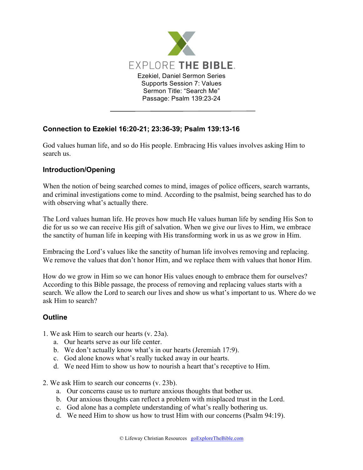

## **Connection to Ezekiel 16:20-21; 23:36-39; Psalm 139:13-16**

God values human life, and so do His people. Embracing His values involves asking Him to search us.

## **Introduction/Opening**

When the notion of being searched comes to mind, images of police officers, search warrants, and criminal investigations come to mind. According to the psalmist, being searched has to do with observing what's actually there.

The Lord values human life. He proves how much He values human life by sending His Son to die for us so we can receive His gift of salvation. When we give our lives to Him, we embrace the sanctity of human life in keeping with His transforming work in us as we grow in Him.

Embracing the Lord's values like the sanctity of human life involves removing and replacing. We remove the values that don't honor Him, and we replace them with values that honor Him.

How do we grow in Him so we can honor His values enough to embrace them for ourselves? According to this Bible passage, the process of removing and replacing values starts with a search. We allow the Lord to search our lives and show us what's important to us. Where do we ask Him to search?

## **Outline**

- 1. We ask Him to search our hearts (v. 23a).
	- a. Our hearts serve as our life center.
	- b. We don't actually know what's in our hearts (Jeremiah 17:9).
	- c. God alone knows what's really tucked away in our hearts.
	- d. We need Him to show us how to nourish a heart that's receptive to Him.
- 2. We ask Him to search our concerns (v. 23b).
	- a. Our concerns cause us to nurture anxious thoughts that bother us.
	- b. Our anxious thoughts can reflect a problem with misplaced trust in the Lord.
	- c. God alone has a complete understanding of what's really bothering us.
	- d. We need Him to show us how to trust Him with our concerns (Psalm 94:19).